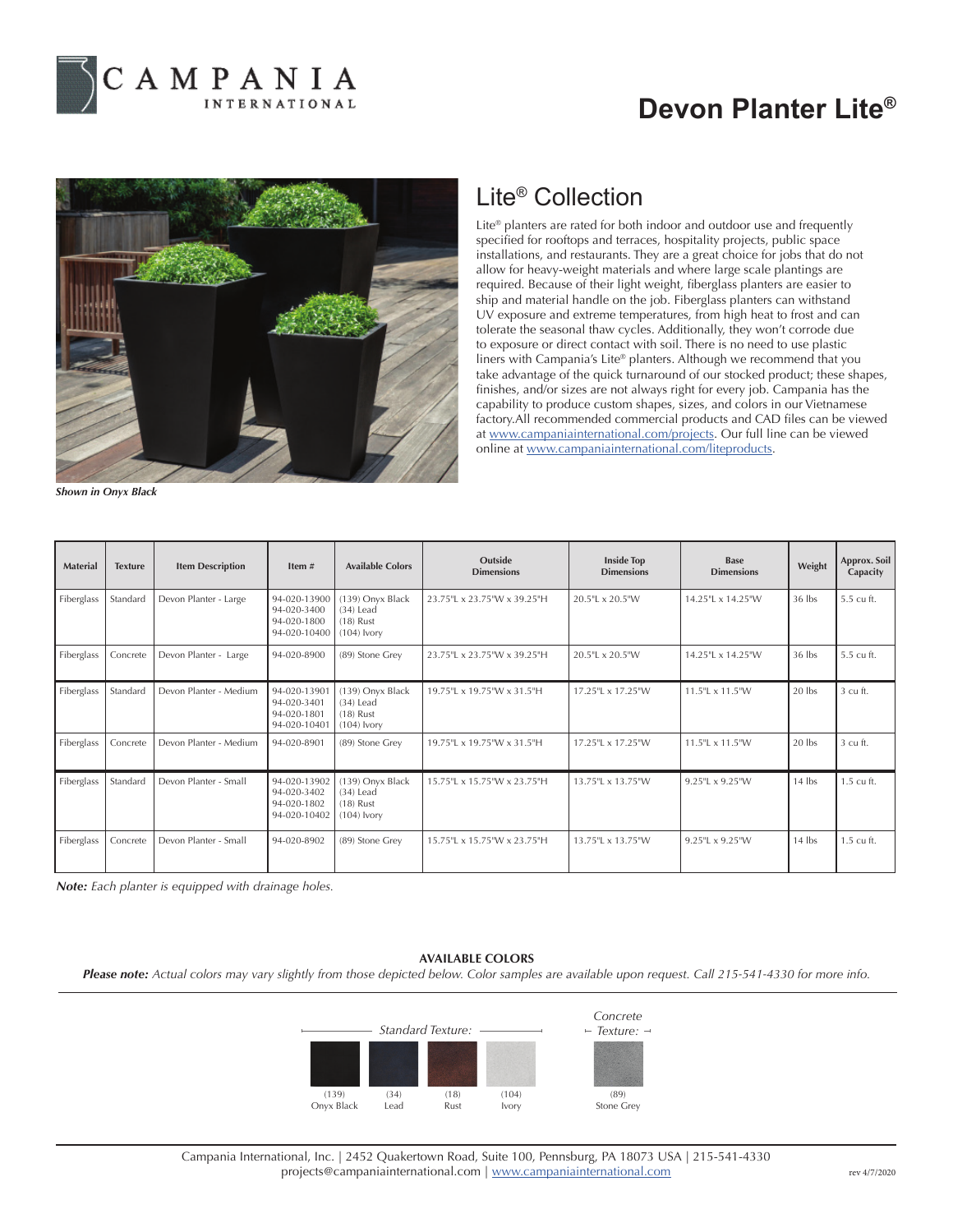

## **Devon Planter Lite®**



*Shown in Onyx Black*

## Lite® Collection

Lite® planters are rated for both indoor and outdoor use and frequently specified for rooftops and terraces, hospitality projects, public space installations, and restaurants. They are a great choice for jobs that do not allow for heavy-weight materials and where large scale plantings are required. Because of their light weight, fiberglass planters are easier to ship and material handle on the job. Fiberglass planters can withstand UV exposure and extreme temperatures, from high heat to frost and can tolerate the seasonal thaw cycles. Additionally, they won't corrode due to exposure or direct contact with soil. There is no need to use plastic liners with Campania's Lite® planters. Although we recommend that you take advantage of the quick turnaround of our stocked product; these shapes, finishes, and/or sizes are not always right for every job. Campania has the capability to produce custom shapes, sizes, and colors in our Vietnamese factory.All recommended commercial products and CAD files can be viewed at www.campaniainternational.com/projects. Our full line can be viewed online at www.campaniainternational.com/liteproducts.

| <b>Material</b> | <b>Texture</b> | <b>Item Description</b> | Item#                                                      | <b>Available Colors</b>                                         | Outside<br><b>Dimensions</b> | <b>Inside Top</b><br><b>Dimensions</b> | <b>Base</b><br><b>Dimensions</b> | Weight   | Approx. Soil<br>Capacity |
|-----------------|----------------|-------------------------|------------------------------------------------------------|-----------------------------------------------------------------|------------------------------|----------------------------------------|----------------------------------|----------|--------------------------|
| Fiberglass      | Standard       | Devon Planter - Large   | 94-020-13900<br>94-020-3400<br>94-020-1800<br>94-020-10400 | (139) Onyx Black<br>$(34)$ Lead<br>$(18)$ Rust<br>$(104)$ Ivory | 23.75"L x 23.75"W x 39.25"H  | 20.5"L x 20.5"W                        | 14.25"L x 14.25"W                | 36 lbs   | 5.5 cu ft.               |
| Fiberglass      | Concrete       | Devon Planter - Large   | 94-020-8900                                                | (89) Stone Grey                                                 | 23.75"L x 23.75"W x 39.25"H  | 20.5"L x 20.5"W                        | 14.25"L x 14.25"W                | 36 lbs   | 5.5 cu ft.               |
| Fiberglass      | Standard       | Devon Planter - Medium  | 94-020-13901<br>94-020-3401<br>94-020-1801<br>94-020-10401 | (139) Onyx Black<br>$(34)$ Lead<br>$(18)$ Rust<br>$(104)$ Ivory | 19.75"L x 19.75"W x 31.5"H   | 17.25" × 17.25" W                      | $11.5$ " $\pm 11.5$ "W           | 20 lbs   | 3 cu ft.                 |
| Fiberglass      | Concrete       | Devon Planter - Medium  | 94-020-8901                                                | (89) Stone Grey                                                 | 19.75"L x 19.75"W x 31.5"H   | 17.25"L x 17.25"W                      | 11.5"L x 11.5"W                  | 20 lbs   | 3 cu ft.                 |
| Fiberglass      | Standard       | Devon Planter - Small   | 94-020-13902<br>94-020-3402<br>94-020-1802<br>94-020-10402 | (139) Onyx Black<br>$(34)$ Lead<br>$(18)$ Rust<br>$(104)$ Ivory | 15.75"L x 15.75"W x 23.75"H  | 13.75"L x 13.75"W                      | 9.25"L x 9.25"W                  | $14$ lbs | 1.5 cu ft.               |
| Fiberglass      | Concrete       | Devon Planter - Small   | 94-020-8902                                                | (89) Stone Grey                                                 | 15.75"L x 15.75"W x 23.75"H  | 13.75"L x 13.75"W                      | 9.25"L x 9.25"W                  | $14$ lbs | 1.5 cu ft.               |

*Note: Each planter is equipped with drainage holes.*

## **AVAILABLE COLORS**

*Please note: Actual colors may vary slightly from those depicted below. Color samples are available upon request. Call 215-541-4330 for more info.*